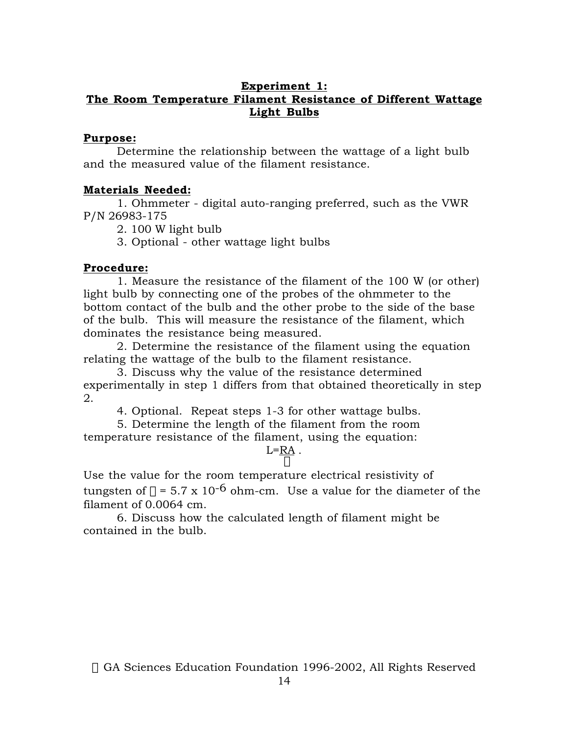## **Experiment 1: The Room Temperature Filament Resistance of Different Wattage Light Bulbs**

### **Purpose:**

Determine the relationship between the wattage of a light bulb and the measured value of the filament resistance.

## **Materials Needed:**

1. Ohmmeter - digital auto-ranging preferred, such as the VWR P/N 26983-175

2. 100 W light bulb

3. Optional - other wattage light bulbs

# **Procedure:**

1. Measure the resistance of the filament of the 100 W (or other) light bulb by connecting one of the probes of the ohmmeter to the bottom contact of the bulb and the other probe to the side of the base of the bulb. This will measure the resistance of the filament, which dominates the resistance being measured.

2. Determine the resistance of the filament using the equation relating the wattage of the bulb to the filament resistance.

3. Discuss why the value of the resistance determined experimentally in step 1 differs from that obtained theoretically in step 2.

4. Optional. Repeat steps 1-3 for other wattage bulbs.

5. Determine the length of the filament from the room temperature resistance of the filament, using the equation:

#### $L = RA$ .  $\Omega$

Use the value for the room temperature electrical resistivity of tungsten of  $\rho = 5.7 \times 10^{-6}$  ohm-cm. Use a value for the diameter of the filament of 0.0064 cm.

6. Discuss how the calculated length of filament might be contained in the bulb.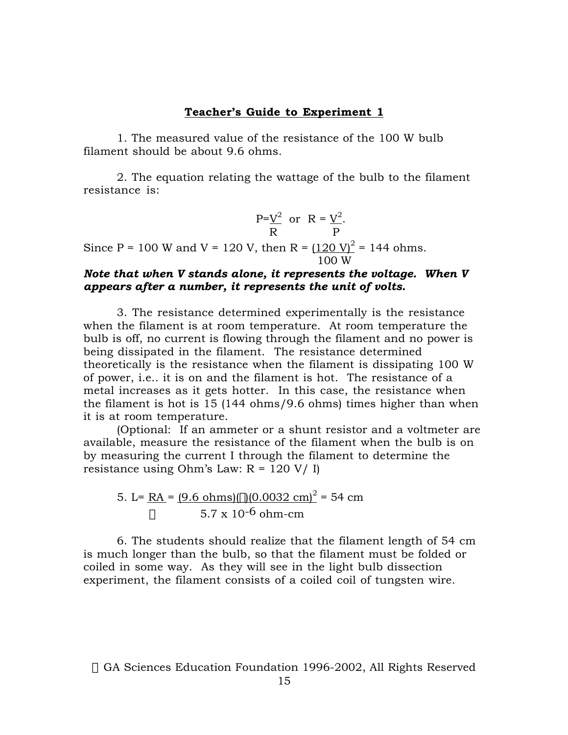### **Teacher's Guide to Experiment 1**

1. The measured value of the resistance of the 100 W bulb filament should be about 9.6 ohms.

2. The equation relating the wattage of the bulb to the filament resistance is:

$$
\frac{P = V^2}{R} \text{ or } R = \frac{V^2}{P}.
$$

Since P = 100 W and V = 120 V, then R =  $(120 \text{ V})^2$  = 144 ohms. 100 W

### *Note that when V stands alone, it represents the voltage. When V appears after a number, it represents the unit of volts.*

3. The resistance determined experimentally is the resistance when the filament is at room temperature. At room temperature the bulb is off, no current is flowing through the filament and no power is being dissipated in the filament. The resistance determined theoretically is the resistance when the filament is dissipating 100 W of power, i.e.. it is on and the filament is hot. The resistance of a metal increases as it gets hotter. In this case, the resistance when the filament is hot is 15 (144 ohms/9.6 ohms) times higher than when it is at room temperature.

(Optional: If an ammeter or a shunt resistor and a voltmeter are available, measure the resistance of the filament when the bulb is on by measuring the current I through the filament to determine the resistance using Ohm's Law:  $R = 120 V / I$ 

5. L=
$$
\frac{RA}{\rho}
$$
 = (9.6 ohms)( $\pi$ )(0.0032 cm)<sup>2</sup> = 54 cm  
  $\rho$  5.7 x 10<sup>-6</sup> ohm-cm

6. The students should realize that the filament length of 54 cm is much longer than the bulb, so that the filament must be folded or coiled in some way. As they will see in the light bulb dissection experiment, the filament consists of a coiled coil of tungsten wire.